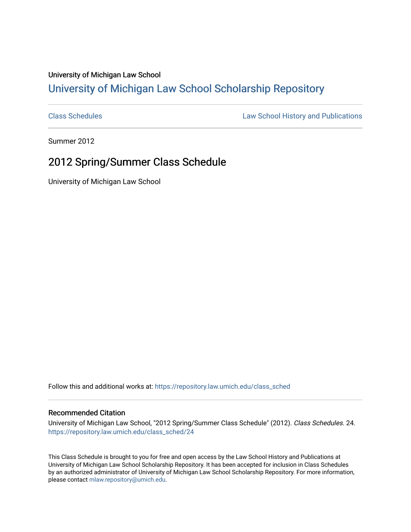## University of Michigan Law School [University of Michigan Law School Scholarship Repository](https://repository.law.umich.edu/)

[Class Schedules](https://repository.law.umich.edu/class_sched) **Law School History and Publications** 

Summer 2012

## 2012 Spring/Summer Class Schedule

University of Michigan Law School

Follow this and additional works at: [https://repository.law.umich.edu/class\\_sched](https://repository.law.umich.edu/class_sched?utm_source=repository.law.umich.edu%2Fclass_sched%2F24&utm_medium=PDF&utm_campaign=PDFCoverPages) 

## Recommended Citation

University of Michigan Law School, "2012 Spring/Summer Class Schedule" (2012). Class Schedules. 24. [https://repository.law.umich.edu/class\\_sched/24](https://repository.law.umich.edu/class_sched/24?utm_source=repository.law.umich.edu%2Fclass_sched%2F24&utm_medium=PDF&utm_campaign=PDFCoverPages)

This Class Schedule is brought to you for free and open access by the Law School History and Publications at University of Michigan Law School Scholarship Repository. It has been accepted for inclusion in Class Schedules by an authorized administrator of University of Michigan Law School Scholarship Repository. For more information, please contact [mlaw.repository@umich.edu.](mailto:mlaw.repository@umich.edu)